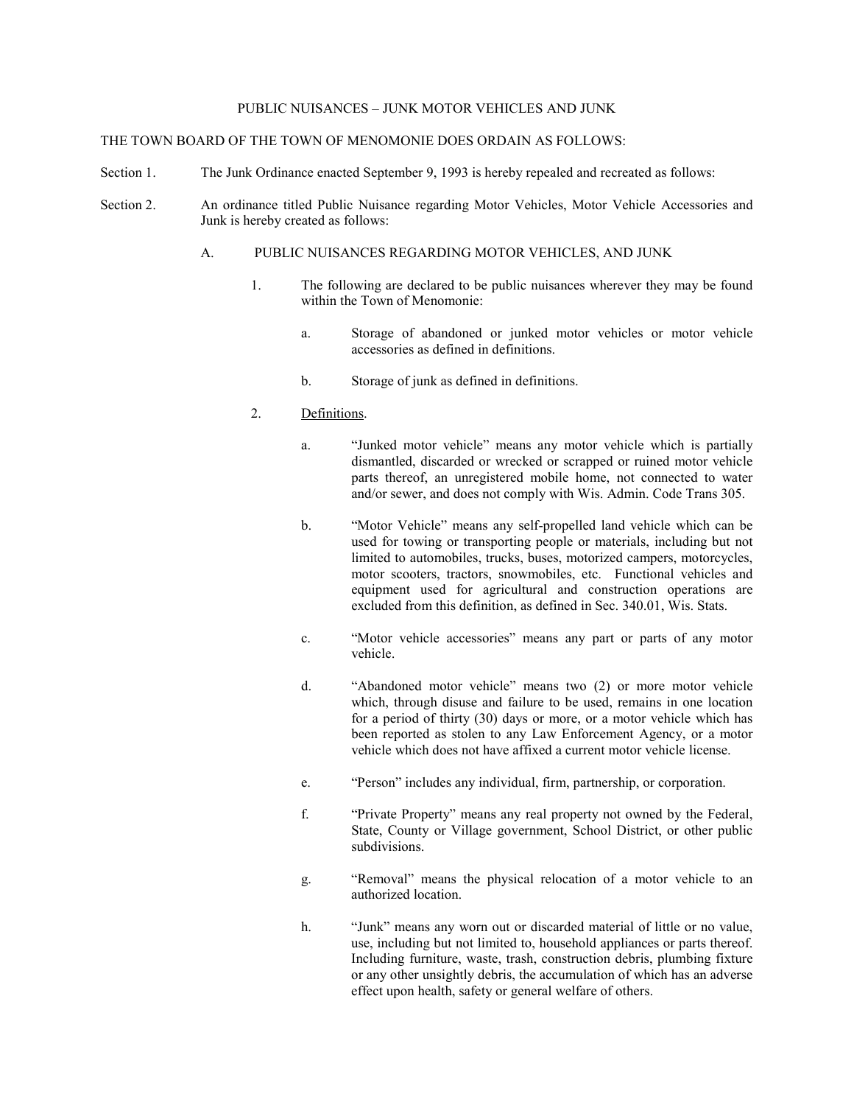#### PUBLIC NUISANCES – JUNK MOTOR VEHICLES AND JUNK

### THE TOWN BOARD OF THE TOWN OF MENOMONIE DOES ORDAIN AS FOLLOWS:

- Section 1. The Junk Ordinance enacted September 9, 1993 is hereby repealed and recreated as follows:
- Section 2. An ordinance titled Public Nuisance regarding Motor Vehicles, Motor Vehicle Accessories and Junk is hereby created as follows:

#### A. PUBLIC NUISANCES REGARDING MOTOR VEHICLES, AND JUNK

- 1. The following are declared to be public nuisances wherever they may be found within the Town of Menomonie:
	- a. Storage of abandoned or junked motor vehicles or motor vehicle accessories as defined in definitions.
	- b. Storage of junk as defined in definitions.
- 2. Definitions.
	- a. "Junked motor vehicle" means any motor vehicle which is partially dismantled, discarded or wrecked or scrapped or ruined motor vehicle parts thereof, an unregistered mobile home, not connected to water and/or sewer, and does not comply with Wis. Admin. Code Trans 305.
	- b. "Motor Vehicle" means any self-propelled land vehicle which can be used for towing or transporting people or materials, including but not limited to automobiles, trucks, buses, motorized campers, motorcycles, motor scooters, tractors, snowmobiles, etc. Functional vehicles and equipment used for agricultural and construction operations are excluded from this definition, as defined in Sec. 340.01, Wis. Stats.
	- c. "Motor vehicle accessories" means any part or parts of any motor vehicle.
	- d. "Abandoned motor vehicle" means two (2) or more motor vehicle which, through disuse and failure to be used, remains in one location for a period of thirty (30) days or more, or a motor vehicle which has been reported as stolen to any Law Enforcement Agency, or a motor vehicle which does not have affixed a current motor vehicle license.
	- e. "Person" includes any individual, firm, partnership, or corporation.
	- f. "Private Property" means any real property not owned by the Federal, State, County or Village government, School District, or other public subdivisions.
	- g. "Removal" means the physical relocation of a motor vehicle to an authorized location.
	- h. "Junk" means any worn out or discarded material of little or no value, use, including but not limited to, household appliances or parts thereof. Including furniture, waste, trash, construction debris, plumbing fixture or any other unsightly debris, the accumulation of which has an adverse effect upon health, safety or general welfare of others.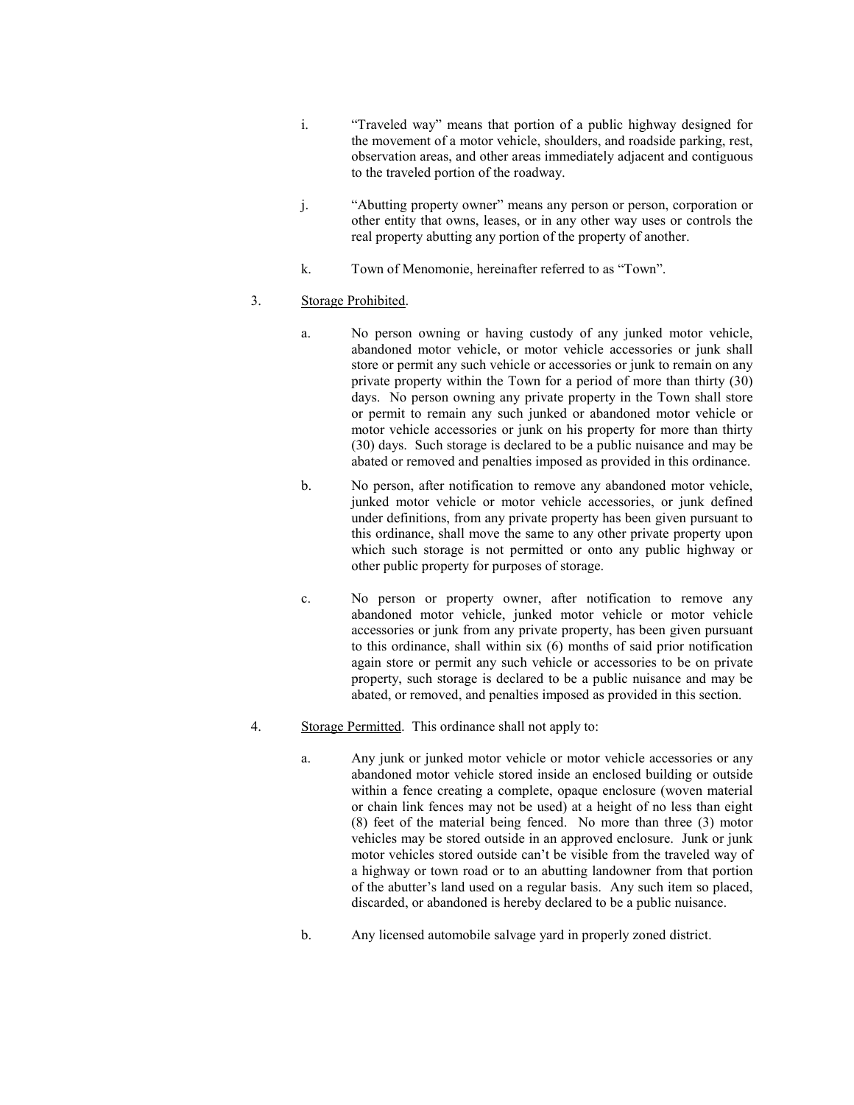- i. "Traveled way" means that portion of a public highway designed for the movement of a motor vehicle, shoulders, and roadside parking, rest, observation areas, and other areas immediately adjacent and contiguous to the traveled portion of the roadway.
- j. "Abutting property owner" means any person or person, corporation or other entity that owns, leases, or in any other way uses or controls the real property abutting any portion of the property of another.
- k. Town of Menomonie, hereinafter referred to as "Town".

# 3. Storage Prohibited.

- a. No person owning or having custody of any junked motor vehicle, abandoned motor vehicle, or motor vehicle accessories or junk shall store or permit any such vehicle or accessories or junk to remain on any private property within the Town for a period of more than thirty (30) days. No person owning any private property in the Town shall store or permit to remain any such junked or abandoned motor vehicle or motor vehicle accessories or junk on his property for more than thirty (30) days. Such storage is declared to be a public nuisance and may be abated or removed and penalties imposed as provided in this ordinance.
- b. No person, after notification to remove any abandoned motor vehicle, junked motor vehicle or motor vehicle accessories, or junk defined under definitions, from any private property has been given pursuant to this ordinance, shall move the same to any other private property upon which such storage is not permitted or onto any public highway or other public property for purposes of storage.
- c. No person or property owner, after notification to remove any abandoned motor vehicle, junked motor vehicle or motor vehicle accessories or junk from any private property, has been given pursuant to this ordinance, shall within six (6) months of said prior notification again store or permit any such vehicle or accessories to be on private property, such storage is declared to be a public nuisance and may be abated, or removed, and penalties imposed as provided in this section.
- 4. Storage Permitted. This ordinance shall not apply to:
	- a. Any junk or junked motor vehicle or motor vehicle accessories or any abandoned motor vehicle stored inside an enclosed building or outside within a fence creating a complete, opaque enclosure (woven material or chain link fences may not be used) at a height of no less than eight (8) feet of the material being fenced. No more than three (3) motor vehicles may be stored outside in an approved enclosure. Junk or junk motor vehicles stored outside can't be visible from the traveled way of a highway or town road or to an abutting landowner from that portion of the abutter's land used on a regular basis. Any such item so placed, discarded, or abandoned is hereby declared to be a public nuisance.
	- b. Any licensed automobile salvage yard in properly zoned district.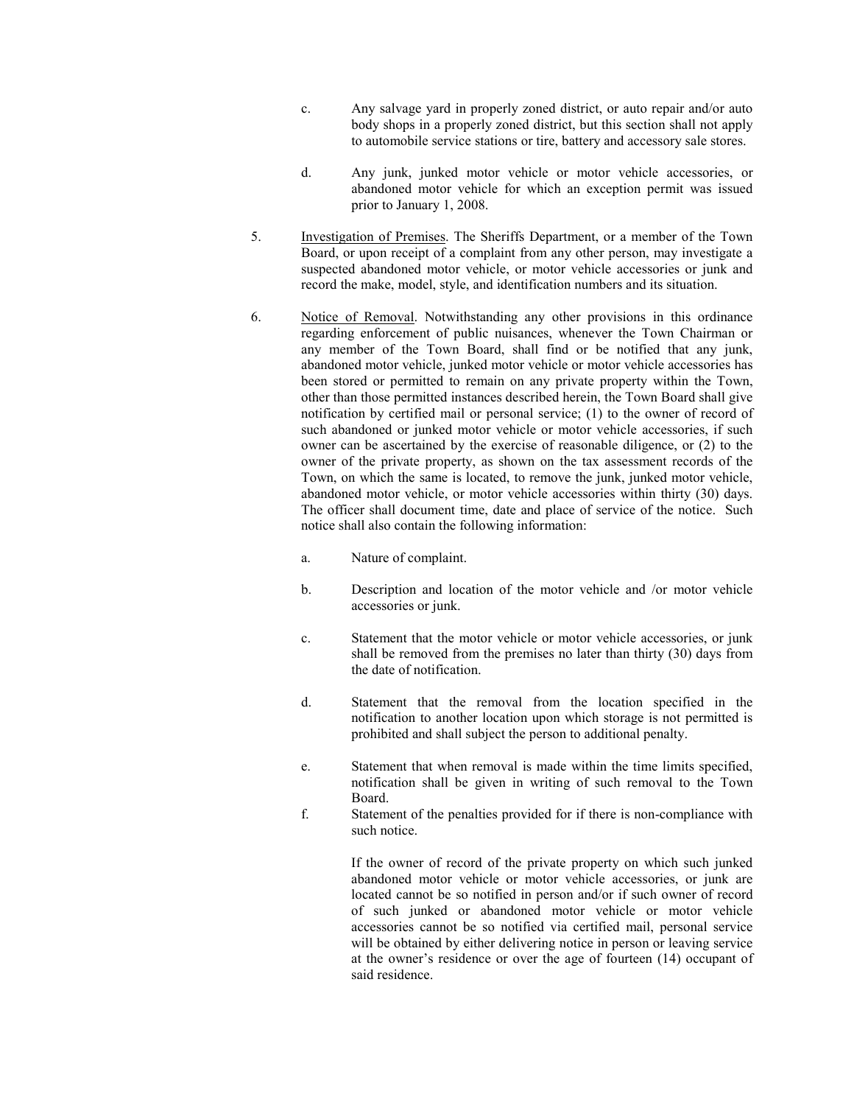- c. Any salvage yard in properly zoned district, or auto repair and/or auto body shops in a properly zoned district, but this section shall not apply to automobile service stations or tire, battery and accessory sale stores.
- d. Any junk, junked motor vehicle or motor vehicle accessories, or abandoned motor vehicle for which an exception permit was issued prior to January 1, 2008.
- 5. Investigation of Premises. The Sheriffs Department, or a member of the Town Board, or upon receipt of a complaint from any other person, may investigate a suspected abandoned motor vehicle, or motor vehicle accessories or junk and record the make, model, style, and identification numbers and its situation.
- 6. Notice of Removal. Notwithstanding any other provisions in this ordinance regarding enforcement of public nuisances, whenever the Town Chairman or any member of the Town Board, shall find or be notified that any junk, abandoned motor vehicle, junked motor vehicle or motor vehicle accessories has been stored or permitted to remain on any private property within the Town, other than those permitted instances described herein, the Town Board shall give notification by certified mail or personal service; (1) to the owner of record of such abandoned or junked motor vehicle or motor vehicle accessories, if such owner can be ascertained by the exercise of reasonable diligence, or (2) to the owner of the private property, as shown on the tax assessment records of the Town, on which the same is located, to remove the junk, junked motor vehicle, abandoned motor vehicle, or motor vehicle accessories within thirty (30) days. The officer shall document time, date and place of service of the notice. Such notice shall also contain the following information:
	- a. Nature of complaint.
	- b. Description and location of the motor vehicle and /or motor vehicle accessories or junk.
	- c. Statement that the motor vehicle or motor vehicle accessories, or junk shall be removed from the premises no later than thirty (30) days from the date of notification.
	- d. Statement that the removal from the location specified in the notification to another location upon which storage is not permitted is prohibited and shall subject the person to additional penalty.
	- e. Statement that when removal is made within the time limits specified, notification shall be given in writing of such removal to the Town Board.
	- f. Statement of the penalties provided for if there is non-compliance with such notice.

If the owner of record of the private property on which such junked abandoned motor vehicle or motor vehicle accessories, or junk are located cannot be so notified in person and/or if such owner of record of such junked or abandoned motor vehicle or motor vehicle accessories cannot be so notified via certified mail, personal service will be obtained by either delivering notice in person or leaving service at the owner's residence or over the age of fourteen (14) occupant of said residence.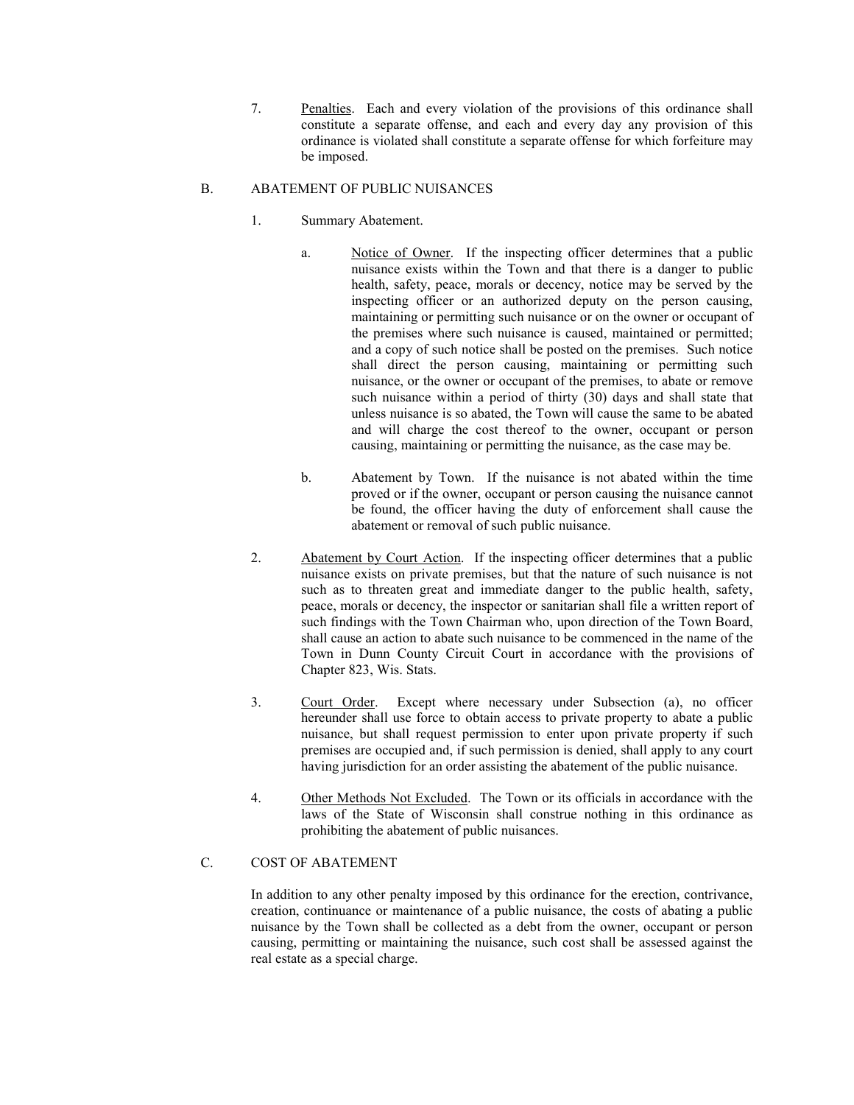7. Penalties. Each and every violation of the provisions of this ordinance shall constitute a separate offense, and each and every day any provision of this ordinance is violated shall constitute a separate offense for which forfeiture may be imposed.

## B. ABATEMENT OF PUBLIC NUISANCES

- 1. Summary Abatement.
	- a. Notice of Owner. If the inspecting officer determines that a public nuisance exists within the Town and that there is a danger to public health, safety, peace, morals or decency, notice may be served by the inspecting officer or an authorized deputy on the person causing, maintaining or permitting such nuisance or on the owner or occupant of the premises where such nuisance is caused, maintained or permitted; and a copy of such notice shall be posted on the premises. Such notice shall direct the person causing, maintaining or permitting such nuisance, or the owner or occupant of the premises, to abate or remove such nuisance within a period of thirty (30) days and shall state that unless nuisance is so abated, the Town will cause the same to be abated and will charge the cost thereof to the owner, occupant or person causing, maintaining or permitting the nuisance, as the case may be.
	- b. Abatement by Town. If the nuisance is not abated within the time proved or if the owner, occupant or person causing the nuisance cannot be found, the officer having the duty of enforcement shall cause the abatement or removal of such public nuisance.
- 2. Abatement by Court Action. If the inspecting officer determines that a public nuisance exists on private premises, but that the nature of such nuisance is not such as to threaten great and immediate danger to the public health, safety, peace, morals or decency, the inspector or sanitarian shall file a written report of such findings with the Town Chairman who, upon direction of the Town Board, shall cause an action to abate such nuisance to be commenced in the name of the Town in Dunn County Circuit Court in accordance with the provisions of Chapter 823, Wis. Stats.
- 3. Court Order. Except where necessary under Subsection (a), no officer hereunder shall use force to obtain access to private property to abate a public nuisance, but shall request permission to enter upon private property if such premises are occupied and, if such permission is denied, shall apply to any court having jurisdiction for an order assisting the abatement of the public nuisance.
- 4. Other Methods Not Excluded. The Town or its officials in accordance with the laws of the State of Wisconsin shall construe nothing in this ordinance as prohibiting the abatement of public nuisances.

## C. COST OF ABATEMENT

In addition to any other penalty imposed by this ordinance for the erection, contrivance, creation, continuance or maintenance of a public nuisance, the costs of abating a public nuisance by the Town shall be collected as a debt from the owner, occupant or person causing, permitting or maintaining the nuisance, such cost shall be assessed against the real estate as a special charge.